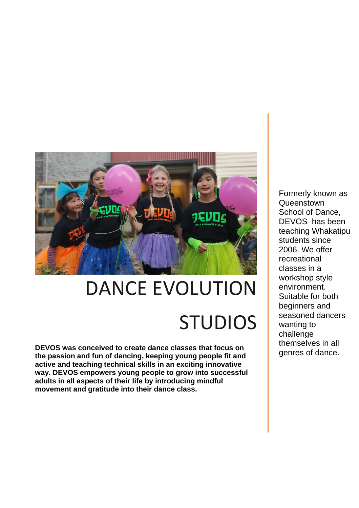

# DANCE EVOLUTION **STUDIOS**

**DEVOS was conceived to create dance classes that focus on the passion and fun of dancing, keeping young people fit and active and teaching technical skills in an exciting innovative way. DEVOS empowers young people to grow into successful adults in all aspects of their life by introducing mindful movement and gratitude into their dance class.**

Formerly known as **Queenstown** School of Dance. DEVOS has been teaching Whakatipu students since 2006. We offer recreational classes in a workshop style environment. Suitable for both beginners and seasoned dancers wanting to challenge themselves in all genres of dance.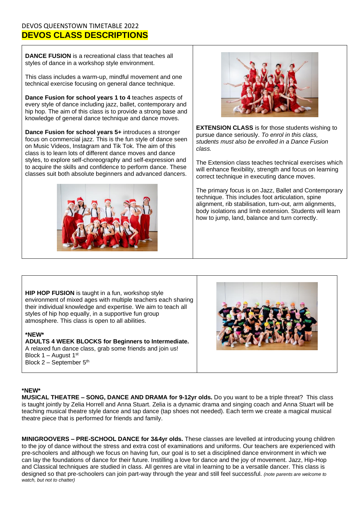### DEVOS QUEENSTOWN TIMETABLE 2022 **DEVOS CLASS DESCRIPTIONS**

**DANCE FUSION** is a recreational class that teaches all styles of dance in a workshop style environment.

This class includes a warm-up, mindful movement and one technical exercise focusing on general dance technique.

**Dance Fusion for school years 1 to 4** teaches aspects of every style of dance including jazz, ballet, contemporary and hip hop. The aim of this class is to provide a strong base and knowledge of general dance technique and dance moves.

**Dance Fusion for school years 5+** introduces a stronger focus on commercial jazz. This is the fun style of dance seen on Music Videos, Instagram and Tik Tok. The aim of this class is to learn lots of different dance moves and dance styles, to explore self-choreography and self-expression and to acquire the skills and confidence to perform dance. These classes suit both absolute beginners and advanced dancers.





**EXTENSION CLASS** is for those students wishing to pursue dance seriously. *To enrol in this class, students must also be enrolled in a Dance Fusion class.*

The Extension class teaches technical exercises which will enhance flexibility, strength and focus on learning correct technique in executing dance moves.

The primary focus is on Jazz, Ballet and Contemporary technique. This includes foot articulation, spine alignment, rib stabilisation, turn-out, arm alignments, body isolations and limb extension. Students will learn how to jump, land, balance and turn correctly.

**HIP HOP FUSION** is taught in a fun, workshop style environment of mixed ages with multiple teachers each sharing their individual knowledge and expertise. We aim to teach all styles of hip hop equally, in a supportive fun group atmosphere. This class is open to all abilities.

#### **\*NEW\***

**ADULTS 4 WEEK BLOCKS for Beginners to Intermediate.**  A relaxed fun dance class, grab some friends and join us! Block 1 – August 1st Block  $2 -$  September  $5<sup>th</sup>$ 



#### **\*NEW\***

**MUSICAL THEATRE – SONG, DANCE AND DRAMA for 9-12yr olds.** Do you want to be a triple threat? This class is taught jointly by Zelia Horrell and Anna Stuart. Zelia is a dynamic drama and singing coach and Anna Stuart will be teaching musical theatre style dance and tap dance (tap shoes not needed). Each term we create a magical musical theatre piece that is performed for friends and family.

**MINIGROOVERS – PRE-SCHOOL DANCE for 3&4yr olds.** These classes are levelled at introducing young children to the joy of dance without the stress and extra cost of examinations and uniforms. Our teachers are experienced with pre-schoolers and although we focus on having fun, our goal is to set a disciplined dance environment in which we can lay the foundations of dance for their future. Instilling a love for dance and the joy of movement. Jazz, Hip-Hop and Classical techniques are studied in class. All genres are vital in learning to be a versatile dancer. This class is designed so that pre-schoolers can join part-way through the year and still feel successful. *(note parents are welcome to watch, but not to chatter)*